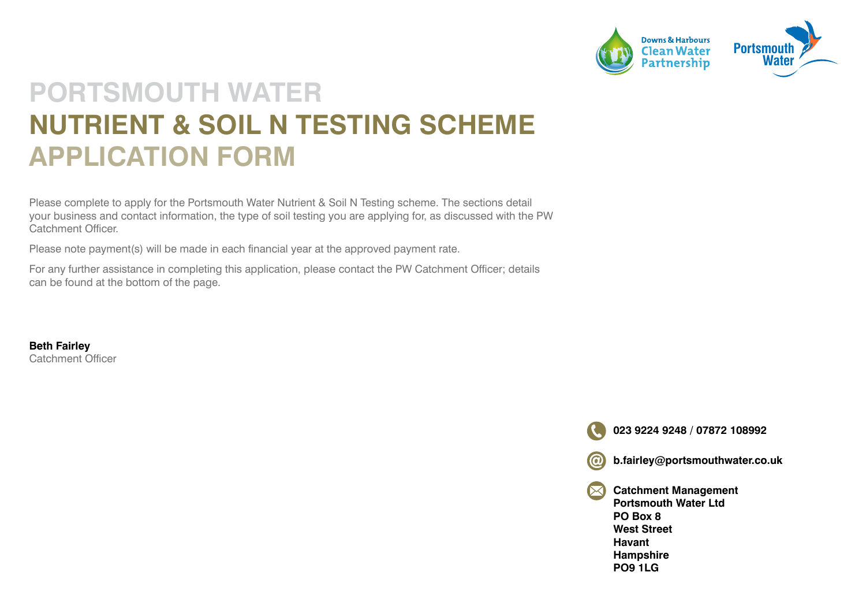

#### **PORTSMOUTH WATER NUTRIENT & SOIL N TESTING SCHEME APPLICATION FORM**

Please complete to apply for the Portsmouth Water Nutrient & Soil N Testing scheme. The sections detail your business and contact information, the type of soil testing you are applying for, as discussed with the PW Catchment Officer.

Please note payment(s) will be made in each financial year at the approved payment rate.

For any further assistance in completing this application, please contact the PW Catchment Officer; details can be found at the bottom of the page.

**Beth Fairley**  Catchment Officer

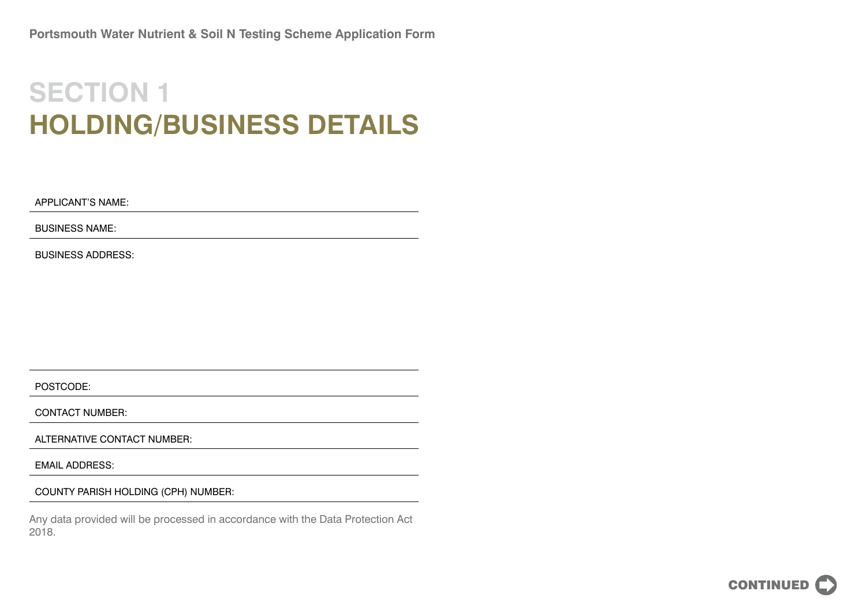## **SECTION 1 HOLDING/BUSINESS DETAILS**

APPLICANT'S NAME:

BUSINESS NAME:

BUSINESS ADDRESS:

POSTCODE:

CONTACT NUMBER:

ALTERNATIVE CONTACT NUMBER:

EMAIL ADDRESS:

COUNTY PARISH HOLDING (CPH) NUMBER:

Any data provided will be processed in accordance with the Data Protection Act 2018.

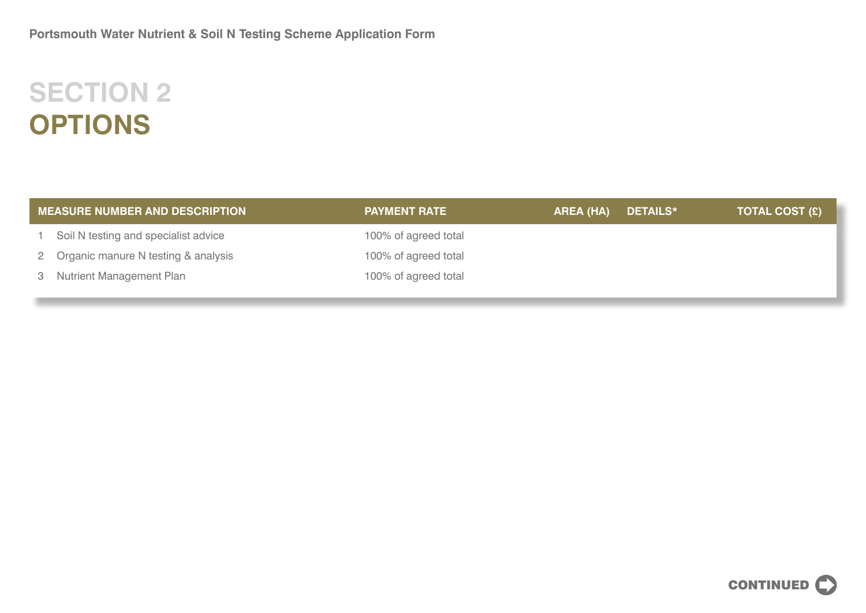# **SECTION 2 OPTIONS**

| <b>MEASURE NUMBER AND DESCRIPTION</b> |                                        | <b>PAYMENT RATE</b>  | AREA (HA) | DETAILS* | <b>TOTAL COST (£)</b> |
|---------------------------------------|----------------------------------------|----------------------|-----------|----------|-----------------------|
|                                       | 1 Soil N testing and specialist advice | 100% of agreed total |           |          |                       |
|                                       | 2 Organic manure N testing & analysis  | 100% of agreed total |           |          |                       |
|                                       | 3 Nutrient Management Plan             | 100% of agreed total |           |          |                       |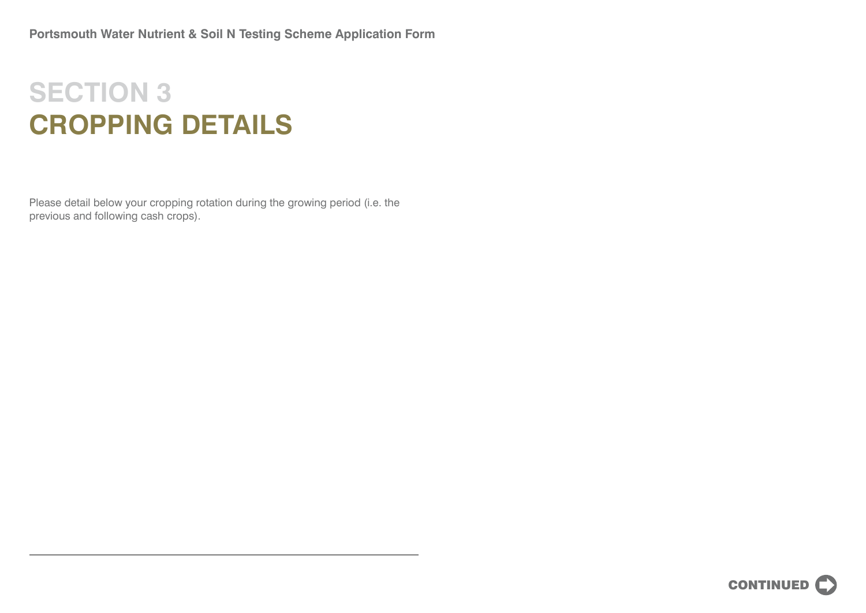## **SECTION 3 CROPPING DETAILS**

Please detail below your cropping rotation during the growing period (i.e. the previous and following cash crops).

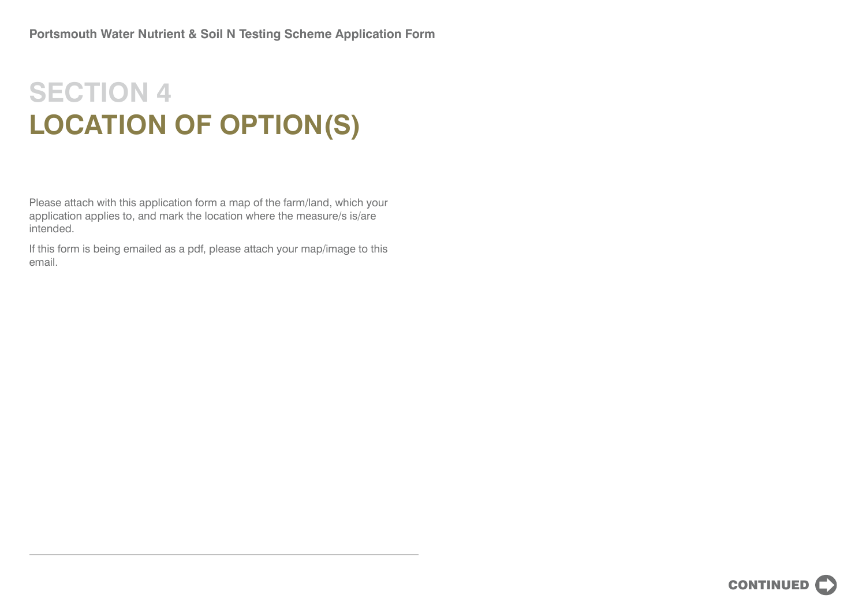## **SECTION 4 LOCATION OF OPTION(S)**

Please attach with this application form a map of the farm/land, which your application applies to, and mark the location where the measure/s is/are intended.

If this form is being emailed as a pdf, please attach your map/image to this email.